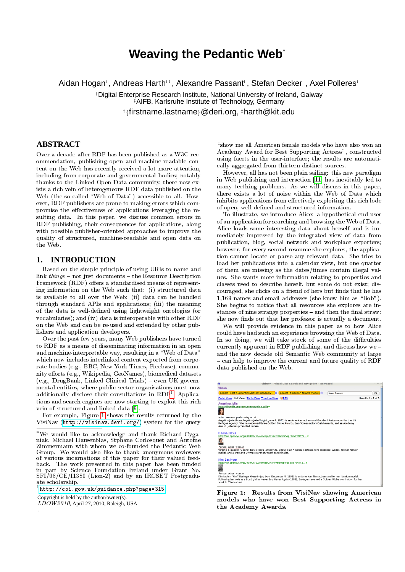# **Weaving the Pedantic Web**

Aidan Hogan†, Andreas Harth‡‡, Alexandre Passant†, Stefan Decker†, Axel Polleres†

<sup>y</sup>Digital Enterprise Research Institute, National University of Ireland, Galway

<sup>‡</sup>AIFB, Karlsruhe Institute of Technology, Germany

<sup>y</sup>ffirstname.lastnameg@deri.org, <sup>z</sup>harth@kit.edu

### **ABSTRACT**

Over a decade after RDF has been published as a W3C recommendation, publishing open and machine-readable content on the Web has recently received a lot more attention, including from corporate and governmental bodies; notably thanks to the Linked Open Data community, there now exists a rich vein of heterogeneous RDF data published on the Web (the so-called "Web of Data") accessible to all. However, RDF publishers are prone to making errors which compromise the effectiveness of applications leveraging the resulting data. In this paper, we discuss common errors in RDF publishing, their consequences for applications, along with possible publisher-oriented approaches to improve the quality of structured, machine-readable and open data on the Web.

### **1. INTRODUCTION**

Based on the simple principle of using URIs to name and link  $things - not just documents - the Resource Description$ Framework (RDF) offers a standardised means of representing information on the Web such that: (i) structured data is available to all over the Web; (ii) data can be handled through standard APIs and applications; (iii) the meaning of the data is well-defined using lightweight ontologies (or vocabularies); and (iv) data is interoperable with other RDF on the Web and can be re-used and extended by other publishers and application developers.

Over the past few years, many Web publishers have turned to RDF as a means of disseminating information in an open and machine-interpretable way, resulting in a "Web of Data" which now includes interlinked content exported from corporate bodies (e.g., BBC, New York Times, Freebase), community efforts (e.g., Wikipedia, GeoNames), biomedical datasets  $(e.g., DrugBank, Linked Clinical trials) - even UK govern$ mental entities, where public sector organisations must now additionally disclose their consultations in RDF<sup>[1](#page-0-0)</sup>. Applications and search engines are now starting to exploit this rich vein of structured and linked data [\[9\]](#page-9-0).

For example, Figure [1](#page-0-1) shows the results returned by the VisiNav [\(http://visinav.deri.org/\)](http://visinav.deri.org/) system for the query

<span id="page-0-0"></span>1 <http://coi.gov.uk/guidance.php?page=315>

Copyright is held by the author/owner(s).

.

 $L\ddot{D}\dot{O}W2010$ , April 27, 2010, Raleigh, USA.

"show me all American female models who have also won an Academy Award for Best Supporting Actress", constructed using facets in the user-interface; the results are automatically aggregated from thirteen distinct sources.

However, all has not been plain sailing: this new paradigm in Web publishing and interaction [\[11\]](#page-9-1) has inevitably led to many teething problems. As we will discuss in this paper, there exists a lot of noise within the Web of Data which inhibits applications from effectively exploiting this rich lode of open, well-defined and structured information.

To illustrate, we introduce Alice: a hypothetical end-user of an application for searching and browsing the Web of Data. Alice loads some interesting data about herself and is immediately impressed by the integrated view of data from publication, blog, social network and workplace exporters; however, for every second resource she explores, the application cannot locate or parse any relevant data. She tries to load her publications into a calendar view, but one quarter of them are missing as the dates/times contain illegal values. She wants more information relating to properties and classes used to describe herself, but some do not exist; discouraged, she clicks on a friend of hers but finds that he has  $1,169$  names and email addresses (she knew him as "Bob"). She begins to notice that all resources she explores are instances of nine strange properties - and then the final straw: she now finds out that her professor is actually a document.

We will provide evidence in this paper as to how Alice could have had such an experience browsing the Web of Data. In so doing, we will take stock of some of the difficulties currently apparent in RDF publishing, and discuss how we  $$ and the now decade old Semantic Web community at large { can help to improve the current and future quality of RDF data published on the Web.

| é.                                                     |                                                                  | VisiNav -- Visual Data Search and Navigation - Iceweasel                                                                                                                                                                                       |                   |                    | $  +$ $+$ |
|--------------------------------------------------------|------------------------------------------------------------------|------------------------------------------------------------------------------------------------------------------------------------------------------------------------------------------------------------------------------------------------|-------------------|--------------------|-----------|
| VisiNav                                                |                                                                  |                                                                                                                                                                                                                                                |                   |                    |           |
|                                                        |                                                                  | subject Best Supporting Actress Academy 8 subject American female models 8                                                                                                                                                                     | <b>New Search</b> |                    | Ok        |
|                                                        | Detail View List View Table View Timeline View FIRSS             |                                                                                                                                                                                                                                                |                   | Results 1 - 5 of 5 |           |
| Angelina Jolie<br>actor woman performing artist        | http://dbpedia.org/resource/Angelina Jolies                      | Angelina Jolie (born Angelina Jolie Voight; June 4, 1975) is an American actress and Goodwill Ambassador for the UN                                                                                                                            |                   |                    |           |
| Award. Jolie has promoted humani<br><b>Geena Davis</b> | http://sw.opencyc.org/2008/06/10/concept/Mx4rwRN3oZwpEbGdrcN5Y2@ | Refugee Agency. She has received three Golden Globe Awards, two Screen Actors Guild Awards, and an Academy                                                                                                                                     |                   |                    |           |
| Person actor woman                                     |                                                                  | Virginia Elizabeth "Geena" Davis (born January 21, 1956) is an American actress, film producer, writer, former fashion                                                                                                                         |                   |                    |           |
|                                                        | model, and a women's Olympics archery team semi-finalist.        |                                                                                                                                                                                                                                                |                   |                    |           |
| <b>Kim Basinger</b>                                    | http://sw.opencyc.org/2008/06/10/concept/Mx4rvegFOpwpEbGdrcN5Y2@ |                                                                                                                                                                                                                                                |                   |                    |           |
| Person actor woman<br>work in The Natural              |                                                                  | Kimila Ann "Kim" Basinger (bass-in-jer; born December 8, 1953) is an American film actress and former fashion model.<br>Following her role as a Bond girl in Never Say Never Again (1983), Basinger received a Golden Globe nomination for her |                   |                    |           |

<span id="page-0-1"></span>Figure 1: Results from VisiNav showing American models who have won Best Supporting Actress in the Academy Awards.

We would like to acknowledge and thank Richard Cyganiak, Michael Hausenblas, Stphane Corlosquet and Antoine Zimmermann with whom we co-founded the Pedantic Web Group. We would also like to thank anonymous reviewers of various incarnations of this paper for their valued feedback. The work presented in this paper has been funded in part by Science Foundation Ireland under Grant No. SFI/08/CE/I1380 (Lion-2) and by an IRCSET Postgraduate scholarship.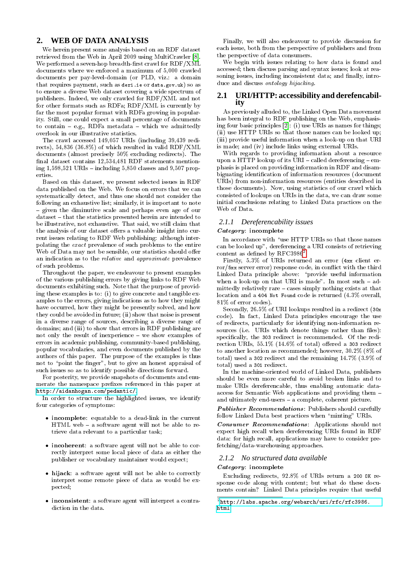### **2. WEB OF DATA ANALYSIS**

We herein present some analysis based on an RDF dataset retrieved from the Web in April 2009 using MultiCrawler [\[8\]](#page-9-2). We performed a seven-hop breadth-first crawl for RDF/XML documents where we enforced a maximum of 5,000 crawled documents per pay-level-domain (or PLD, viz.: a domain that requires payment, such as deri.ie or data.gov.uk) so as to ensure a diverse Web dataset covering a wide spectrum of publishers. Indeed, we only crawled for RDF/XML and not for other formats such as RDFa; RDF/XML is currently by far the most popular format with RDFa growing in popularity. Still, one could expect a small percentage of documents to contain  $-$  e.g., RDFa metadata  $-$  which we admittedly overlook in our illustrative statistics.

The crawl accessed 149,057 URIs (including 39,439 redirects), 54,836 (36.8%) of which resulted in valid RDF/XML documents (almost precisely 50% excluding redirects). The final dataset contains 12,534,481 RDF statements mentioning  $1,598,521$  URIs - including  $5,850$  classes and  $9,507$  properties.

Based on this dataset, we present selected issues in RDF data published on the Web. We focus on errors that we can systematically detect, and thus one should not consider the following an exhaustive list; similarly, it is important to note - given the diminutive scale and perhaps even age of our dataset - that the statistics presented herein are intended to be illustrative, not exhaustive. That said, we still claim that the analysis of our dataset offers a valuable insight into current issues relating to RDF Web publishing: although interpolating the exact prevalence of such problems to the entire Web of Data may not be sensible, our statistics should offer an indication as to the relative and approximate prevalence of such problems.

Throughout the paper, we endeavour to present examples of the various publishing errors by giving links to RDF Web documents exhibiting such. Note that the purpose of providing these examples is to: (i) to give concrete and tangible examples to the errors, giving indications as to how they might have occurred, how they might be presently solved, and how they could be avoided in future; (ii) show that noise is present in a diverse range of sources, describing a diverse range of domains; and (iii) to show that errors in RDF publishing are not only the result of inexperience - we show examples of errors in academic publishing, community-based publishing, popular vocabularies, and even documents published by the authors of this paper. The purpose of the examples is thus not to "point the finger", but to give an honest appraisal of such issues so as to identify possible directions forward.

For posterity, we provide snapshots of documents and enumerate the namespace prefixes referenced in this paper at [http://aidanhogan.com/pedantic/.](http://aidanhogan.com/pedantic/)

In order to structure the highlighted issues, we identify four categories of symptoms:

- incomplete: equatable to a dead-link in the current  $HTML$  web  $-$  a software agent will not be able to retrieve data relevant to a particular task;
- incoherent: a software agent will not be able to correctly interpret some local piece of data as either the publisher or vocabulary maintainer would expect;
- hijack: a software agent will not be able to correctly interpret some remote piece of data as would be expected;
- inconsistent: a software agent will interpret a contradiction in the data.

Finally, we will also endeavour to provide discussion for each issue, both from the perspective of publishers and from the perspective of data consumers.

We begin with issues relating to how data is found and accessed; then discuss parsing and syntax issues; look at reasoning issues, including inconsistent data; and finally, introduce and discuss ontology hijacking.

### **2.1 URI/HTTP: accessibility and derefencability**

As previously alluded to, the Linked Open Data movement has been integral to RDF publishing on the Web, emphasising four basic principles [\[2\]](#page-9-3): (i) use URIs as names for things; (ii) use HTTP URIs so that those names can be looked up; (iii) provide useful information when a look-up on that URI is made; and (iv) include links using external URIs.

With regards to providing information about a resource upon a HTTP lookup of its URI  $-$  called dereferencing  $-$  emphasis is placed on providing information in RDF and disambiguating identication of information resources (document URIs) from non-information resources (entities described in those documents). Now, using statistics of our crawl which consisted of lookups on URIs in the data, we can draw some initial conclusions relating to Linked Data practices on the Web of Data.

#### *2.1.1 Dereferencability issues*

#### Category: incomplete

In accordance with "use HTTP URIs so that those names can be looked up", dereferencing a URI consists of retrieving content as defined by  $\text{RFC3986}^2$  $\text{RFC3986}^2$ .

Firstly, 5.3% of URIs returned an error (4xx client error/5xx server error) response code, in con
ict with the third Linked Data principle above: "provide useful information when a look-up on that URI is made". In most such  $-$  admittedly relatively rare { cases simply nothing exists at that location and a 404 Not Found code is returned (4.3% overall, 81% of error codes).

Secondly, 26.5% of URI lookups resulted in a redirect (30x code). In fact, Linked Data principles encourage the use of redirects, particularly for identifying non-information resources (i.e. URIs which denote things rather than files): specically, the 303 redirect is recommended. Of the redirection URIs,  $55.1\%$  (14.6% of total) offered a 303 redirect to another location as recommended; however, 30.2% (8% of total) used a 302 redirect and the remaining 14.7% (3.9% of total) used a 301 redirect.

In the machine-oriented world of Linked Data, publishers should be even more careful to avoid broken links and to make URIs dereferencable, thus enabling automatic dataaccess for Semantic Web applications and providing them { and ultimately end-users  $=$  a complete, coherent picture.

Publisher Recommendations: Publishers should carefully follow Linked Data best practices when "minting" URIs.

Consumer Recommendations: Applications should not expect high recall when dereferencing URIs found in RDF data: for high recall, applications may have to consider prefetching/data-warehousing approaches.

#### *2.1.2 No structured data available*

#### Category: incomplete

Excluding redirects, 92.8% of URIs return a 200 OK response code along with content; but what do these documents contain? Linked Data principles require that useful

<span id="page-1-0"></span> $^2$ [http://labs.apache.org/webarch/uri/rfc/rfc3986.](http://labs.apache.org/webarch/uri/rfc/rfc3986.html) [html](http://labs.apache.org/webarch/uri/rfc/rfc3986.html)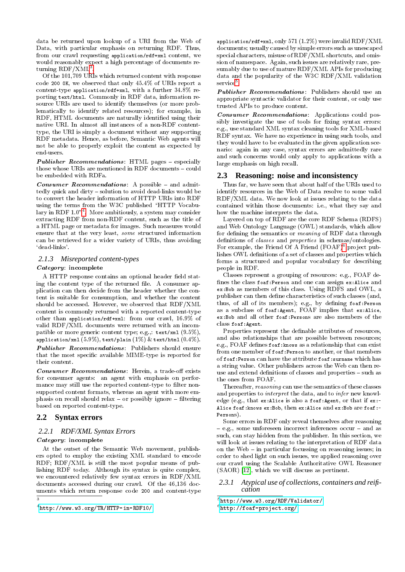data be returned upon lookup of a URI from the Web of Data, with particular emphasis on returning RDF. Thus, from our crawl requesting application/rdf+xml content, we would reasonably expect a high percentage of documents returning  $RDF/XML^3$  $RDF/XML^3$ .

Of the 101,709 URIs which returned content with response code 200 OK, we observed that only 45.4% of URIs report a content-type application/rdf+xml, with a further 34.8% reporting text/html. Commonly in RDF data, information resource URIs are used to identify themselves (or more problematically to identify related resources); for example, in RDF, HTML documents are naturally identied using their native URI. In almost all instances of a non-RDF contenttype, the URI is simply a document without any supporting RDF metadata. Hence, as before, Semantic Web agents will not be able to properly exploit the content as expected by end-users.

**Publisher Recommendations:** HTML pages  $=$  especially those whose URIs are mentioned in RDF documents - could be embedded with RDFa.

Consumer Recommendations: A possible  $-$  and admittedly quick and dirty - solution to avoid dead-links would be to convert the header information of HTTP URIs into RDF using the terms from the W3C published \HTTP Vocabu-lary in RDF 1.0"<sup>[4](#page-2-1)</sup>. More ambitiously, a system may consider extracting RDF from non-RDF content, such as the title of a HTML page or metadata for images. Such measures would ensure that at the very least, some structured information can be retrieved for a wider variety of URIs, thus avoiding `dead-links'.

#### *2.1.3 Misreported content-types*

#### Category: incomplete

A HTTP response contains an optional header field stating the content type of the returned file. A consumer application can then decide from the header whether the content is suitable for consumption, and whether the content should be accessed. However, we observed that RDF/XML content is commonly returned with a reported content-type other than application/rdf+xml: from our crawl, 16.9% of valid RDF/XML documents were returned with an incompatible or more generic content type; e.g.,: text/xml (9.5%), application/xml  $(5.9\%)$ , text/plain  $(1\%)$  & text/html  $(0.4\%)$ .

Publisher Recommendations: Publishers should ensure that the most specic available MIME-type is reported for their content.

 $\emph{Consumer Recommendations: Herein, a trade-off exists}$ for consumer agents: an agent with emphasis on performance may still use the reported content-type to filter nonsupported content formats, whereas an agent with more emphasis on recall should relax  $-$  or possibly ignore  $-$  filtering based on reported content-type.

### **2.2 Syntax errors**

#### *2.2.1 RDF/XML Syntax Errors*

#### Category: incomplete

At the outset of the Semantic Web movement, publishers opted to employ the existing XML standard to encode RDF; RDF/XML is still the most popular means of publishing RDF today. Although its syntax is quite complex, we encountered relatively few syntax errors in RDF/XML documents accessed during our crawl. Of the 46,136 documents which return response code 200 and content-type 3

application/rdf+xml, only 571 (1.2%) were invalid RDF/XML documents; usually caused by simple errors such as unescaped special characters, misuse of RDF/XML shortcuts, and omission of namespace. Again, such issues are relatively rare, presumably due to use of mature RDF/XML APIs for producing data and the popularity of the W3C RDF/XML validation service<sup>[5](#page-2-2)</sup>.

Publisher Recommendations: Publishers should use an appropriate syntactic validator for their content, or only use trusted APIs to produce content.

Consumer Recommendations: Applications could possibly investigate the use of tools for fixing syntax errors: e.g., use standard XML syntax cleaning tools for XML-based RDF syntax. We have no experience in using such tools, and they would have to be evaluated in the given application scenario: again in any case, syntax errors are admittedly rare and such concerns would only apply to applications with a large emphasis on high recall.

### **2.3 Reasoning: noise and inconsistency**

Thus far, we have seen that about half of the URIs used to identify resources in the Web of Data resolve to some valid RDF/XML data. We now look at issues relating to the data contained within those documents: i.e., what they say and how the machine interprets the data.

Layered on top of RDF are the core RDF Schema (RDFS) and Web Ontology Language (OWL) standards, which allow for defining the semantics or *meaning* of RDF data through definitions of *classes* and *properties* in schemas/ontologies. For example, the Friend Of A Friend  $(FOAF)^6$  $(FOAF)^6$  project publishes OWL definitions of a set of classes and properties which forms a structured and popular vocabulary for describing people in RDF.

Classes represent a grouping of resources: e.g., FOAF de fines the class foaf: Person and one can assign ex: Alice and ex:Bob as members of this class. Using RDFS and OWL, a publisher can then define characteristics of such classes (and, thus, of all of its members); e.g., by defining foaf: Person as a subclass of foaf:Agent, FOAF implies that ex:Alice, ex:Bob and all other foaf:Persons are also members of the class foaf:Agent.

Properties represent the definable attributes of resources, and also relationships that are possible between resources; e.g., FOAF defines foaf: knows as a relationship that can exist from one member of foaf:Person to another, or that members of foaf:Person can have the attribute foaf:surname which has a string value. Other publishers across the Web can then reuse and extend definitions of classes and properties - such as the ones from FOAF.

Thereafter, reasoning can use the semantics of these classes and properties to interpret the data, and to infer new knowledge (e.g., that ex:Alice is also a foaf:Agent, or that if ex:- Alice foaf:knows ex:Bob, then ex:Alice and ex:Bob are foaf:- Persons).

Some errors in RDF only reveal themselves after reasoning  $=$  e.g., some unforeseen incorrect inferences occur  $=$  and as such, can stay hidden from the publisher. In this section, we will look at issues relating to the interpretation of RDF data on the Web - in particular focussing on reasoning issues; in order to shed light on such issues, we applied reasoning over our crawl using the Scalable Authoritative OWL Reasoner (SAOR) [\[12\]](#page-9-4), which we will discuss as pertinent.

### *2.3.1 Atypical use of collections, containers and reification*

<span id="page-2-1"></span><span id="page-2-0"></span><sup>4</sup> <http://www.w3.org/TR/HTTP-in-RDF10/>

<span id="page-2-2"></span><sup>5</sup> <http://www.w3.org/RDF/Validator/>

<span id="page-2-3"></span><sup>6</sup> <http://foaf-project.org/>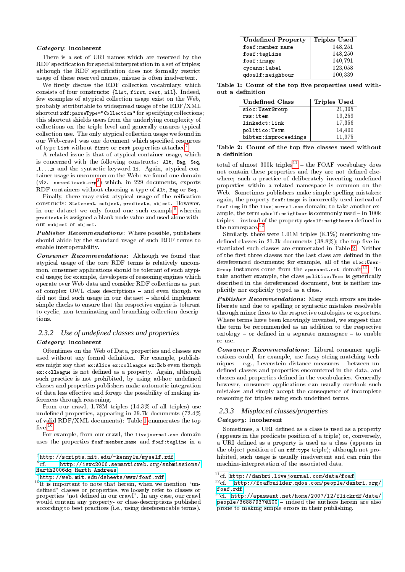#### Category: incoherent

There is a set of URI names which are reserved by the RDF specification for special interpretation in a set of triples; although the RDF specification does not formally restrict usage of these reserved names, misuse is often inadvertent.

We firstly discuss the RDF collection vocabulary, which consists of four constructs: {List, first, rest, nil}. Indeed, few examples of atypical collection usage exist on the Web, probably attributable to widespread usage of the RDF/XML shortcut rdf:parseType="Collection" for specifying collections; this shortcut shields users from the underlying complexity of collections on the triple level and generally ensures typical collection use. The only atypical collection usage we found in our Web-crawl was one document which specied resources of type List without first or rest properties attached<sup>[7](#page-3-0)</sup>.

A related issue is that of atypical container usage, which is concerned with the following constructs: Alt, Bag, Seq, 1... n and the syntactic keyword li. Again, atypical container usage is uncommon on the Web: we found one domain (viz. semanticweb.org<sup>[8](#page-3-1)</sup>) which, in 229 documents, exports RDF containers without choosing a type of Alt, Bag or Seq.

Finally, there may exist atypical usage of the reification constructs: Statement, subject, predicate, object. However, in our dataset we only found one such example<sup>[9](#page-3-2)</sup> wherein predicate is assigned a blank node value and used alone without subject or object.

Publisher Recommendations: Where possible, publishers should abide by the standard usage of such RDF terms to enable interoperability.

Consumer Recommendations: Although we found that atypical usage of the core RDF terms is relatively uncommon, consumer applications should be tolerant of such atypical usage; for example, developers of reasoning engines which operate over Web data and consider RDF collections as part of complex OWL class descriptions { and even though we did not find such usage in our dataset - should implement simple checks to ensure that the respective engine is tolerant to cyclic, non-terminating and branching collection descriptions.

### *2.3.2 Use of undefined classes and properties* Category: incoherent

Oftentimes on the Web of Data, properties and classes are used without any formal definition. For example, publishers might say that ex:Alice ex:colleague ex:Bob even though ex: colleague is not defined as a property. Again, although such practice is not prohibited, by using ad-hoc undefined classes and properties publishers make automatic integration of data less effective and forego the possibility of making inferences through reasoning.

From our crawl, 1.78M triples (14.3% of all triples) use undefined properties, appearing in 39.7k documents (72.4%) of valid RDF/XML documents): Table [1](#page-3-3) enumerates the top five. $10$ 

For example, from our crawl, the livejournal.com domain uses the properties foaf:member name and foaf:tagLine in a

| <b>Undefined Property</b> | <b>Triples Used</b> |
|---------------------------|---------------------|
| foaf:member_name          | 148,251             |
| foaf:tagLine              | 148,250             |
| foaf:image                | 140,791             |
| cycann: label             | 123,058             |
| qdoslf:neighbour          | 100.339             |

|                  |  |  | Table 1: Count of the top five properties used with- |  |
|------------------|--|--|------------------------------------------------------|--|
| out a definition |  |  |                                                      |  |

<span id="page-3-3"></span>

| <b>Undefined Class</b> | Triples Used |
|------------------------|--------------|
| sioc:UserGroup         | 21,395       |
| rss:item               | 19,259       |
| linkedct:link          | 17,356       |
| politico:Term          | 14,490       |
| bibtex: inproceedings  | 11.975       |

<span id="page-3-7"></span>Table 2: Count of the top five classes used without a definition

total of almost 300k triples<sup>[11](#page-3-5)</sup> - the FOAF vocabulary does not contain these properties and they are not dened elsewhere; such a practice of deliberately inventing undefined properties within a related namespace is common on the Web. Sometimes publishers make simple spelling mistakes: again, the property foaf:image is incorrectly used instead of foaf:img in the livejournal.com domain; to take another example, the term  $q$ doslf:neighbour is commonly used  $-$  in  $100k$ triples - instead of the property qdoslf:neighbours defined in the namespace.[12](#page-3-6)

Similarly, there were 1.01M triples (8.1%) mentioning undefined classes in 21.3k documents  $(38.8\%)$ ; the top five instantiated such classes are enumerated in Table [2.](#page-3-7) Neither of the first three classes nor the last class are defined in the dereferenced documents; for example, all of the sioc:User-Group instances come from the apassant.net domain<sup>[13](#page-3-8)</sup>. To take another example, the class politico:Term is generically described in the dereferenced document, but is neither implicitly nor explicitly typed as a class.

Publisher Recommendations: Many such errors are indeliberate and due to spelling or syntactic mistakes resolvable through minor fixes to the respective ontologies or exporters. Where terms have been knowingly invented, we suggest that the term be recommended as an addition to the respective ontology  $=$  or defined in a separate namespace  $=$  to enable re-use.

Consumer Recommendations: Liberal consumer applications could, for example, use fuzzy string matching techniques - e.g., Levenstein distance measures - between undefined classes and properties encountered in the data, and classes and properties defined in the vocabularies. Generally however, consumer applications can usually overlook such mistakes and simply accept the consequence of incomplete reasoning for triples using such undefined terms.

#### *2.3.3 Misplaced classes/properties*

### Category: incoherent

Sometimes, a URI defined as a class is used as a property (appears in the predicate position of a triple) or, conversely, a URI dened as a property is used as a class (appears in the object position of an rdf:type triple); although not prohibited, such usage is usually inadvertent and can ruin the machine-interpretation of the associated data.

<span id="page-3-0"></span><sup>7</sup> <http://scripts.mit.edu/~kennylu/myself.rdf>

<span id="page-3-1"></span> $^8$ cf. [http://iswc2006.semanticweb.org/submissions/](http://iswc2006.semanticweb.org/submissions/Harth2006dq_Harth_Andreas) [Harth2006dq\\_Harth\\_Andreas](http://iswc2006.semanticweb.org/submissions/Harth2006dq_Harth_Andreas)

<span id="page-3-2"></span> $^{9}$ <http://web.mit.edu/dsheets/www/foaf.rdf>

<span id="page-3-4"></span> $^{10}$ It is important to note that herein, when we mention "undefined" classes or properties, we loosely refer to classes or properties "not defined in our crawl". In any case, our crawl would contain any property- or class-descriptions published according to best practices (i.e., using dereferencable terms).

<span id="page-3-5"></span> $^{11}$ cf. <http://danbri.livejournal.com/data/foaf>

<span id="page-3-6"></span> $12$ cf. [http://foafbuilder.qdos.com/people/danbri.org/](http://foafbuilder.qdos.com/people/danbri.org/foaf.rdf) [foaf.rdf](http://foafbuilder.qdos.com/people/danbri.org/foaf.rdf)

<span id="page-3-8"></span> $^{13}$ cf. [http://apassant.net/home/2007/12/flickrdf/data/](http://apassant.net/home/2007/12/flickrdf/data/people/36887937@N00) [people/36887937@N00](http://apassant.net/home/2007/12/flickrdf/data/people/36887937@N00) - indeed the authors herein are also prone to making simple errors in their publishing.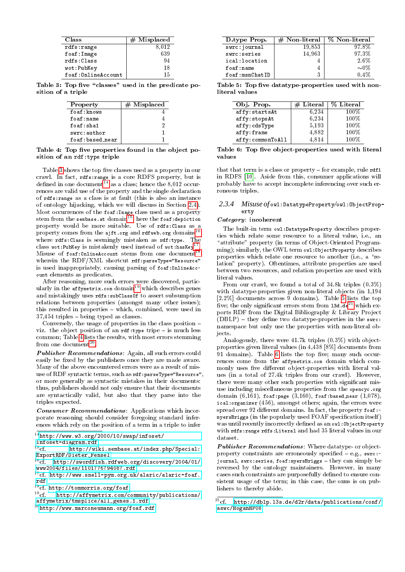| Class                | $#$ Misplaced |
|----------------------|---------------|
| rdfs:range           | 8.012         |
| foaf: Image          | 639           |
| rdfs:Class           | 94            |
| wot:PubKey           | 18            |
| foaf: Online Account | 15            |

Table 3: Top five "classes" used in the predicate position of a triple

<span id="page-4-0"></span>

| Property        | $\#$ Misplaced |
|-----------------|----------------|
| foaf:knows      |                |
| foaf:name       |                |
| foaf:sha1       |                |
| swrc:author     |                |
| foaf:based near |                |

<span id="page-4-7"></span>Table 4: Top five properties found in the object position of an rdf:type triple

Table [3](#page-4-0) shows the top five classes used as a property in our crawl. In fact, rdfs:range is a core RDFS property, but is defined in one document<sup>[14](#page-4-1)</sup> as a class; hence the 8,012 occurrences are valid use of the property and the single declaration of rdfs:range as a class is at fault (this is also an instance of ontology hijacking, which we will discuss in Section [2.4\)](#page-7-0). Most occurrences of the foaf:Image class used as a property stem from the sembase.at domain<sup>[15](#page-4-2)</sup>; here the foaf:depiction property would be more suitable. Use of rdfs:Class as a property comes from the ajft.org and rdfweb.org domains<sup>[16](#page-4-3)</sup> where rdfs:Class is seemingly mistaken as rdf:type. The class wot:PubKey is mistakenly used instead of wot:hasKey<sup>[17](#page-4-4)</sup> class wot:PubKey is mistakenly used instead of wot:hasKey<sup>17</sup>.<br>Misuse of foaf:OnlineAccount stems from one document<sup>[18](#page-4-5)</sup> wherein the RDF/XML shortcut rdf:parseType="Resource" is used inappropriately, causing parsing of foaf:OnlineAccount elements as predicates.

After reasoning, more such errors were discovered, partic-ularly in the affymetrix.com domain<sup>[19](#page-4-6)</sup> which describes genes and mistakingly uses rdfs:subClassOf to assert subsumption relations between properties (amongst many other issues); this resulted in properties - which, combined, were used in  $37,454$  triples  $-$  being typed as classes.

Conversely, the usage of properties in the class position viz. the object position of an rdf:type tripe - is much less common; Table [4](#page-4-7) lists the results, with most errors stemming from one document<sup>[20](#page-4-8)</sup>.

Publisher Recommendations: Again, all such errors could easily be fixed by the publishers once they are made aware. Many of the above encountered errors were as a result of misuse of RDF syntactic terms, such as rdf:parseType="Resource", or more generally as syntactic mistakes in their documents: thus, publishers should not only ensure that their documents are syntactically valid, but also that they parse into the triples expected.

Consumer Recommendations: Applications which incorporate reasoning should consider foregoing standard inferences which rely on the position of a term in a triple to infer

<span id="page-4-1"></span> $14$ [http://www.w3.org/2000/10/swap/infoset/](http://www.w3.org/2000/10/swap/infoset/infoset-diagram.rdf)

<span id="page-4-2"></span>

<span id="page-4-5"></span> $^{18}$ cf. <http://tommorris.org/foaf>

<span id="page-4-6"></span> $19 \text{cf.} \qquad \text{http://affymetrix.com/community/publications/}$  $19 \text{cf.} \qquad \text{http://affymetrix.com/community/publications/}$  $19 \text{cf.} \qquad \text{http://affymetrix.com/community/publications/}$ [affymetrix/tmsplice/all\\_genes.1.rdf](http://affymetrix.com/community/publications/affymetrix/tmsplice/all_genes.1.rdf)

<span id="page-4-8"></span> $^{20}$ <http://www.marconeumann.org/foaf.rdf>

| D.type Prop.   | $\#$ Non-literal | % Non-literal |
|----------------|------------------|---------------|
| swrc: journal  | 19.853           | 97.8%         |
| swrc: series   | 14.963           | 97.3%         |
| ical:location  |                  | 2.6%          |
| foaf:name      |                  | $\sim 0\%$    |
| foaf:msnChatID |                  | $0.4\%$       |

Table 5: Top five datatype-properties used with nonliteral values

<span id="page-4-9"></span>

| Obj. Prop.    |                  | $#$ Literal | % Literal |
|---------------|------------------|-------------|-----------|
| affy:startsAt |                  | 6.234       | $100\%$   |
| affy:stopsAt  |                  | 6,234       | 100%      |
| affy:cdsType  |                  | 5.193       | 100%      |
| affy:frame    |                  | 4,882       | 100%      |
|               | affy:commonToAll | 4.814       | 100%      |

<span id="page-4-11"></span>Table 6: Top five object-properties used with literal values

that that term is a class or property  $=$  for example, rule rdf1 in RDFS [\[10\]](#page-9-5). Aside from this, consumer applications will probably have to accept incomplete inferencing over such erroneous triples.

#### *2.3.4 Misuse of* owl:DatatypeProperty*/*owl:ObjectProperty

#### Category: incoherent

The built-in term owl:DatatypeProperty describes properties which relate some resource to a literal value, i.e., an "attribute" property (in terms of Object-Oriented Programming); similarly, the OWL term owl:ObjectProperty describes properties which relate one resource to another (i.e., a "relation" property). Oftentimes, attribute properties are used between two resources, and relation properties are used with literal values.

From our crawl, we found a total of 34.8k triples (0.3%) with datatype-properties given non-literal objects (in 1,194 [2.2%] documents across 9 domains). Table [5](#page-4-9) lists the top five; the only significant errors stem from 13d.de<sup>[21](#page-4-10)</sup> which exports RDF from the Digital Bibliography & Library Project  $(DBLP)$  – they define two datatype-properties in the swrc: namespace but only use the properties with non-literal objects.

Analogously, there were 41.7k triples (0.3%) with objectproperties given literal values (in 4,438 [8%] documents from 91 domains). Table [6](#page-4-11) lists the top five; many such occurrences come from the affymetrix.com domain which commonly uses five different object-properties with literal values (in a total of 27.4k triples from our crawl). However, there were many other such properties with signicant misuse including miscellaneous properties from the opencyc.org domain  $(6,161)$ , foaf:page  $(3,160)$ , foaf:based near  $(1,078)$ , ical:organizer (456), amongst others; again, the errors were spread over 92 different domains. In fact, the property foaf:myersBriggs (in the popularly used FOAF specication itself) was until recently incorrectly defined as an owl: ObjectProperty with rdfs:range rdfs:Literal and had 35 literal values in our dataset.

Publisher Recommendations: Where datatype- or objectproperty constraints are erroneously specified  $=$  e.g., swrc: $=$ journal, swrc: series, foaf: myersBriggs  $-$  they can simply be reversed by the ontology maintainers. However, in many cases such constraints are purposefully defined to ensure consistent usage of the term; in this case, the onus is on publishers to thereby abide.

 ${\bf \inf }_{\rm of} {\bf \sup }_{\rm t} {\bf \sup }_{\rm t} {\bf \sup }_{\rm t} {\bf \sup }_{\rm t} {\bf \sup }_{\rm t} {\bf \sup }_{\rm t} {\bf \sup }_{\rm t} {\bf \sup }_{\rm t} {\bf \sup }_{\rm t} {\bf \sup }_{\rm t} {\bf \sup }_{\rm t} {\bf \sup }_{\rm t} {\bf \sup }_{\rm t} {\bf \sup }_{\rm t} {\bf \sup }_{\rm t} {\bf \sup }_{\rm t} {\bf \sup }_{\rm t} {\bf \sup }_{\rm t} {\bf \sup }_{\rm t} {\bf \sup }_{\rm t} {\bf \sup }_{\rm t}$ [http://wiki.sembase.at/index.php/Special:](http://wiki.sembase.at/index.php/Special:ExportRDF/Dieter_Fensel) [ExportRDF/Dieter\\_Fensel](http://wiki.sembase.at/index.php/Special:ExportRDF/Dieter_Fensel)

<span id="page-4-3"></span> $16$ cf. [http://swordfish.rdfweb.org/discovery/2004/01/](http://swordfish.rdfweb.org/discovery/2004/01/www2004/files/1101776794087.rdf) [www2004/files/1101776794087.rdf](http://swordfish.rdfweb.org/discovery/2004/01/www2004/files/1101776794087.rdf)

<span id="page-4-4"></span> $^{17}$ cf. [http://www.snell-pym.org.uk/alaric/alaric-foaf.](http://www.snell-pym.org.uk/alaric/alaric-foaf.rdf) [rdf](http://www.snell-pym.org.uk/alaric/alaric-foaf.rdf)

<span id="page-4-10"></span> $^{21}$ cf. [http://dblp.l3s.de/d2r/data/publications/conf/](http://dblp.l3s.de/d2r/data/publications/conf/aswc/HoganHP08) [aswc/HoganHP08](http://dblp.l3s.de/d2r/data/publications/conf/aswc/HoganHP08)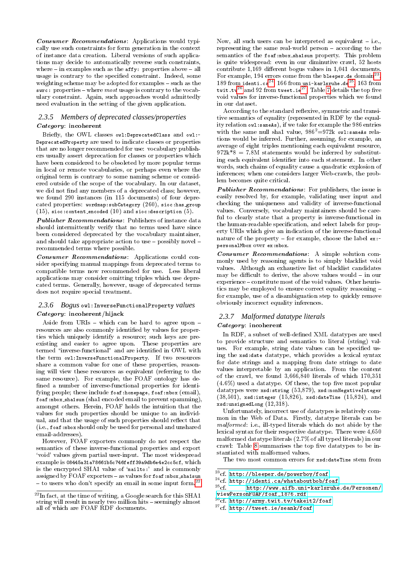Consumer Recommendations: Applications would typically use such constraints for form generation in the context of instance data creation. Liberal versions of such applications may decide to automatically reverse such constraints, where  $-$  in examples such as the  $affy$ : properties above  $-$  all usage is contrary to the specied constraint. Indeed, some weighting scheme may be adopted for examples  $-$  such as the  $s$ wrc: properties - where most usage is contrary to the vocabulary constraint. Again, such approaches would admittedly need evaluation in the setting of the given application.

### *2.3.5 Members of deprecated classes/properties* Category: incoherent

Briefly, the OWL classes owl:DeprecatedClass and owl:-DeprecatedProperty are used to indicate classes or properties that are no longer recommended for use: vocabulary publishers usually assert deprecation for classes or properties which have been considered to be obsoleted by more popular terms in local or remote vocabularies, or perhaps even where the original term is contrary to some naming scheme or considered outside of the scope of the vocabulary. In our dataset, we did not find any members of a deprecated class; however, we found 290 instances (in 115 documents) of four deprecated properties: wordmap: subCategory (260), sioc: has\_group (15), sioc: content encoded (10) and sioc: description  $(5)$ .

Publisher Recommendations: Publishers of instance data should intermittently verify that no terms used have since been considered deprecated by the vocabulary maintainer, and should take appropriate action to use  $-$  possibly novel  $$ recommended terms where possible.

Consumer Recommendations: Applications could consider specifying manual mappings from deprecated terms to compatible terms now recommended for use. Less liberal applications may consider omitting triples which use deprecated terms. Generally, however, usage of deprecated terms does not require special treatment.

### *2.3.6 Bogus* owl:InverseFunctionalProperty *values* Category: incoherent/hijack

Aside from URIs  $-$  which can be hard to agree upon  $$ resources are also commonly identied by values for properties which uniquely identify a resource; such keys are preexisting and easier to agree upon. These properties are termed "inverse-functional" and are identified in OWL with the term owl:InverseFunctionalProperty. If two resources share a common value for one of these properties, reasoning will view these resources as equivalent (referring to the same resource). For example, the FOAF ontology has de fined a number of inverse-functional properties for identifying people; these include foaf:homepage, foaf:mbox (email), foaf:mbox sha1sum (sha1 encoded email to prevent spamming), amongst others. Herein, FOAF holds the intuition that the values for such properties should be unique to an individual, and that the usage of such properties should reflect that (i.e., foaf:mbox should only be used for personal and unshared email-addresses).

However, FOAF exporters commonly do not respect the semantics of these inverse-functional properties and export `void' values given partial user-input. The most widespread example is 08445a31a78661b5c746feff39a9db6e4e2cc5cf, which is the encrypted SHA1 value of 'mailto:' and is commonly assigned by FOAF exporters - as values for foaf: mbox\_sha1sum  $=$  to users who don't specify an email in some input form.<sup>[22](#page-5-0)</sup>

Now, all such users can be interpreted as equivalent  $-$  i.e., representing the same real-world person  $-$  according to the semantics of the foaf:mbox sha1sum property. This problem is quite widespread: even in our diminutive crawl, 52 hosts contribute 1,169 different bogus values in 1,041 documents. For example, 194 errors come from the bleeper.de domain<sup>2</sup> For example, 194 errors come from the bleeper.de domain<sup>23</sup>, 189 from identi.ca<sup>[24](#page-5-2)</sup>, 166 from uni-karlsruhe.de<sup>[25](#page-5-3)</sup>, 163 from twit.tv<sup>[26](#page-5-4)</sup> and 92 from tweet.ie<sup>[27](#page-5-5)</sup>; Table [7](#page-6-0) details the top five void values for inverse-functional properties which we found in our dataset.

According to the standard reflexive, symmetric and transitive semantics of equality (represented in RDF by the equality relation owl:sameAs), if we take for example the 986 entries with the same null shal value,  $986^2 = 972$ k owl: sameAs relations would be inferred. Further, assuming, for example, an average of eight triples mentioning each equivalent resource,  $972k*8 = 7.8M$  statements would be inferred by substituting each equivalent identifier into each statement. In other words, such chains of equality cause a quadratic explosion of inferences; when one considers larger Web-crawls, the problem becomes quite critical.

Publisher Recommendations: For publishers, the issue is easily resolved by, for example, validating user input and checking the uniqueness and validity of inverse-functional values. Conversely, vocabulary maintainers should be careful to clearly state that a property is inverse-functional in the human-readable specication, and select labels for property URIs which give an indication of the inverse-functional nature of the property  $=$  for example, choose the label  $ex:$ personalMbox over ex:mbox.

Consumer Recommendations: A simple solution commonly used by reasoning agents is to simply blacklist void values. Although an exhaustive list of blacklist candidates may be difficult to derive, the above values would  $-$  in our experience - constitute most of the void values. Other heuristics may be employed to ensure correct equality reasoning for example, use of a disambiguation step to quickly remove obviously incorrect equality inferences.

## *2.3.7 Malformed datatype literals*

### Category: incoherent

In RDF, a subset of well-defined XML datatypes are used to provide structure and semantics to literal (string) values. For example, string date values can be specified using the xsd:date datatype, which provides a lexical syntax for date strings and a mapping from date strings to date values interpretable by an application. From the content of the crawl, we found 3,666,840 literals of which 170,351  $(4.6\%)$  used a datatype. Of these, the top five most popular datatypes were xsd:string  $(53,879)$ , xsd:nonNegativeInteger  $(38,501)$ , xsd:integer  $(15,826)$ , xsd:dateTime  $(15,824)$ , and xsd:unsignedLong (12,318).

Unfortunately, incorrect use of datatypes is relatively common in the Web of Data. Firstly, datatype literals can be malformed: i.e., ill-typed literals which do not abide by the lexical syntax for their respective datatype. There were 4,650 malformed datatype literals (2.7% of all typed literals) in our crawl: Table [8](#page-6-1) summarises the top five datatypes to be instantiated with malformed values.

The two most common errors for xsd:dateTime stem from

<span id="page-5-5"></span> $27 \text{cf. http://tweet.ie/seank/foaf}$  $27 \text{cf. http://tweet.ie/seank/foaf}$  $27 \text{cf. http://tweet.ie/seank/foaf}$ 

<span id="page-5-0"></span><sup>22</sup>In fact, at the time of writing, a Google search for this SHA1 string will result in nearly two million hits - seemingly almost all of which are FOAF RDF documents.

<span id="page-5-1"></span> $^{2\overline{3}}$ cf. <http://bleeper.de/powerboy/foaf>

<span id="page-5-2"></span><sup>&</sup>lt;sup>24</sup>cf. <http://identi.ca/whataboutbob/foaf><br><sup>25</sup>cf. http://www.aifb.uni-karlsruhe

<span id="page-5-3"></span>[http://www.aifb.uni-karlsruhe.de/Personen/](http://www.aifb.uni-karlsruhe.de/Personen/viewPersonFOAF/foaf_1876.rdf) [viewPersonFOAF/foaf\\_1876.rdf](http://www.aifb.uni-karlsruhe.de/Personen/viewPersonFOAF/foaf_1876.rdf)

<span id="page-5-4"></span> $^{26}$ cf. http://army.twit.tv/takeit $2$ /foaf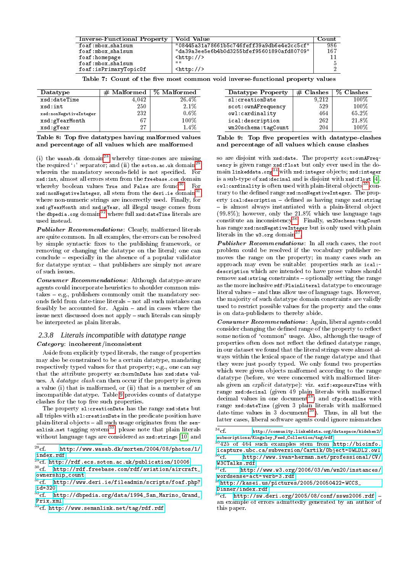| <b>Inverse-Functional Property</b> | Void Value                                   | Count |
|------------------------------------|----------------------------------------------|-------|
| foaf:mbox_sha1sum                  | $"08445a31a78661b5c746feff39a9db6e4e2cc5cf"$ | 986   |
| foaf:mbox_sha1sum                  | "da39a3ee5e6b4b0d3255bfef95601890afd80709"   | 167   |
| foaf:homepage                      | $\frac{1}{2}$                                |       |
| foaf:mbox_sha1sum                  | 1111                                         | 5     |
| foaf:isPrimaryTopicOf              | $\frac{\text{thttp:}}{\text{}}$              | 2     |

<span id="page-6-0"></span>Table 7: Count of the five most common void inverse-functional property values

| Datatype               | $\#$ Malformed | % Malformed |
|------------------------|----------------|-------------|
| xsd:dateTime           | 4.042          | 26.4%       |
| xsd:int                | 250            | 2.1%        |
| xsd:nonNegativeInteger | 232            | $0.6\%$     |
| xsd:gYearMonth         | 67             | 100%        |
| xsd:gYear              |                | $1.4\%$     |

<span id="page-6-1"></span>Table 8: Top five datatypes having malformed values and percentage of all values which are malformed

(i) the wasab.dk domain<sup>[28](#page-6-2)</sup> whereby time-zones are missing the required  $\cdot$ : separator; and (ii) the soton.ac.uk domain<sup>2</sup> wherein the mandatory seconds-field is not specified. For xsd:int, almost all errors stem from the freebase.com domain whereby boolean values  $True$  and False are found<sup>[30](#page-6-4)</sup>. For xsd:nonNegativeInteger, all stem from the deri.ie domain<sup>[31](#page-6-5)</sup> where non-numeric strings are incorrectly used. Finally, for xsd:gYearMonth and xsd:gYear, all illegal usage comes from<br>the dbpedia.org domain<sup>[32](#page-6-6)</sup> where full xsd:dateTime literals are used instead.

Publisher Recommendations: Clearly, malformed literals are quite common. In all examples, the errors can be resolved by simple syntactic fixes to the publishing framework, or removing or changing the datatype on the literal; one can  $\overline{\text{conclude}}$  = especially in the absence of a popular validator for datatype syntax  $-$  that publishers are simply not aware of such issues.

Consumer Recommendations: Although datatype-aware agents could incorporate heuristics to shoulder common mis $takes - e.g., publishes commonly omit the mandatory sec$ onds field from date-time literals  $-$  not all such mistakes can feasibly be accounted for. Again  $-$  and in cases where the issue next discussed does not apply - such literals can simply be interpreted as plain literals.

### *2.3.8 Literals incompatible with datatype range* Category: incoherent/inconsistent

Aside from explicitly typed literals, the range of properties may also be constrained to be a certain datatype, mandating respectively typed values for that property; e.g., one can say that the attribute property ex:bornOnDate has xsd:date values. A datatype clash can then occur if the property is given a value (i) that is malformed, or (ii) that is a member of an incompatible datatype. Table [9](#page-6-7) provides counts of datatype clashes for the top five such properties.

The property sl:creationDate has the range xsd:date but all triples with sl:creationDate in the predicate position have plain-literal objects - all such usage originates from the sem-anlink.net tagging system<sup>[33](#page-6-8)</sup>; please note that plain literals without language tags are considered as xsd:strings [\[10\]](#page-9-5) and

| <b>Datatype Property</b> | $#$ Clashes | % Clashes |
|--------------------------|-------------|-----------|
| sl: creationDate         | 9.212       | $100\%$   |
| scot: ownAFrequency      | 529         | 100%      |
| owl:cardinality          | 464         | 65.2%     |
| ical: description        | 262         | 21.8%     |
| wn20schema:tagCount      | 204         | 100\%     |

<span id="page-6-7"></span>Table 9: Top five properties with datatype-clashes and percentage of all values which cause clashes

so are disjoint with xsd:date. The property scot:ownAFreq-uency is given range xsd:float but only ever used in the do-<br>main linkeddata.org<sup>[34](#page-6-9)</sup> with xsd:integer objects; xsd:integer is a sub-type of xsd:decimal and is disjoint with xsd:float [\[4\]](#page-9-6).  $\text{owl:cardinality is often used with plain literal objects}^{35} \text{ con-}$  $\text{owl:cardinality is often used with plain literal objects}^{35} \text{ con-}$  $\text{owl:cardinality is often used with plain literal objects}^{35} \text{ con-}$ trary to the defined range xsd:nonNegativeInteger. The property ical:description  $-$  defined as having range xsd:string - is almost always instantiated with a plain-literal object (99.8%); however, only the 21.8% which use language tags constitute an inconsistency<sup>[36](#page-6-11)</sup>. Finally, wn20schema:tagCount has range xsd:nonNegativeInteger but is only used with plain literals in the w3.org domain<sup>3</sup> .

Publisher Recommendations: In all such cases, the root problem could be resolved if the vocabulary publisher removes the range on the property; in many cases such an approach may even be suitable: properties such as ical: description which are intended to have prose values should remove  $xsd:string$  constraints  $-$  optionally setting the range as the more inclusive rdf:PlainLiteral datatype to encourage literal values - and thus allow use of language tags. However, the majority of such datatype domain constraints are validly used to restrict possible values for the property and the onus is on data-publishers to thereby abide.

Consumer Recommendations: Again, liberal agents could consider changing the defined range of the property to reflect some notion of "common" usage. Also, although the usage of properties often does not reflect the defined datatype range, in our dataset we found that the literal strings were almost always within the lexical space of the range datatype and that they were just poorly typed. We only found two properties which were given objects malformed according to the range datatype (before, we were concerned with malformed literals given an explicit datatype): viz. exif:exposureTime with range xsd:decimal (given 49 plain literals with malformed decimal values in one document<sup>[38](#page-6-13)</sup>) and  $\epsilon$  fp: deadline with range xsd:dateTime (given 3 plain literals with malformed date-time values in  $3$  documents<sup>[39](#page-6-14)</sup>). Thus, in all but the latter cases, liberal software agents could ignore mismatches

[Dinner/index.rdf](http://kasei.us/pictures/2005/20050422-WCCS_Dinner/index.rdf)

<span id="page-6-2"></span> $28\frac{1}{28}$ cf. [http://www.wasab.dk/morten/2004/08/photos/1/](http://www.wasab.dk/morten/2004/08/photos/1/index.rdf) [index.rdf](http://www.wasab.dk/morten/2004/08/photos/1/index.rdf)

<span id="page-6-3"></span> $^{29}$  cf. <http://rdf.ecs.soton.ac.uk/publication/10006>

<span id="page-6-4"></span> $30^{\circ}$ cf. [http://rdf.freebase.com/rdf/aviation/aircraft\\_](http://rdf.freebase.com/rdf/aviation/aircraft_ownership_count) [ownership\\_count](http://rdf.freebase.com/rdf/aviation/aircraft_ownership_count)

<span id="page-6-5"></span> $31 \text{cf.}$  [http://www.deri.ie/fileadmin/scripts/foaf.php?](http://www.deri.ie/fileadmin/scripts/foaf.php?id=320) [id=320](http://www.deri.ie/fileadmin/scripts/foaf.php?id=320)

<span id="page-6-6"></span> $^{32}\mathrm{cf.}$ [http://dbpedia.org/data/1994\\_San\\_Marino\\_Grand\\_](http://dbpedia.org/data/1994_San_Marino_Grand_Prix.xml) [Prix.xml](http://dbpedia.org/data/1994_San_Marino_Grand_Prix.xml)

<span id="page-6-8"></span> $33$ cf. <http://www.semanlink.net/tag/rdf.rdf>

<span id="page-6-9"></span> $34\overline{\text{cf.}}$  [http://community.linkeddata.org/dataspace/kidehen2/]( http://community.linkeddata.org/dataspace/kidehen2/subscriptions/Kingsley_Feed_Collection/tag/rdf) [subscriptions/Kingsley\\_Feed\\_Collection/tag/rdf]( http://community.linkeddata.org/dataspace/kidehen2/subscriptions/Kingsley_Feed_Collection/tag/rdf)

<span id="page-6-10"></span><sup>35</sup>425 of 464 such examples stem from [http://bioinfo.](http://bioinfo.icapture.ubc.ca/subversion/Cartik/Object-OWLDL2.owl) [icapture.ubc.ca/subversion/Cartik/Object-OWLDL2.owl](http://bioinfo.icapture.ubc.ca/subversion/Cartik/Object-OWLDL2.owl)<br> $36_{cf}$  http://www.ivan-herman.net/professional/CV/ [http://www.ivan-herman.net/professional/CV/](http://www.ivan-herman.net/professional/CV/W3CTalks.rdf)

<span id="page-6-11"></span> $\begin{array}{cc}\n\texttt{W3CTables.} \texttt{rdf} \\
^{37}\texttt{cf.} & \texttt{http:}\n\end{array}$ 

<span id="page-6-12"></span>[http://www.w3.org/2006/03/wn/wn20/instances/](http://www.w3.org/2006/03/wn/wn20/instances/wordsense-act-verb-3.rdf) [wordsense-act-verb-3.rdf](http://www.w3.org/2006/03/wn/wn20/instances/wordsense-act-verb-3.rdf)

<span id="page-6-13"></span> $38$ [http://kasei.us/pictures/2005/20050422-WCCS\\_](http://kasei.us/pictures/2005/20050422-WCCS_Dinner/index.rdf)

<span id="page-6-14"></span> $39^3$ cf. <http://sw.deri.org/2005/08/conf/ssws2006.rdf> an example of errors admittedly generated by an author of this paper.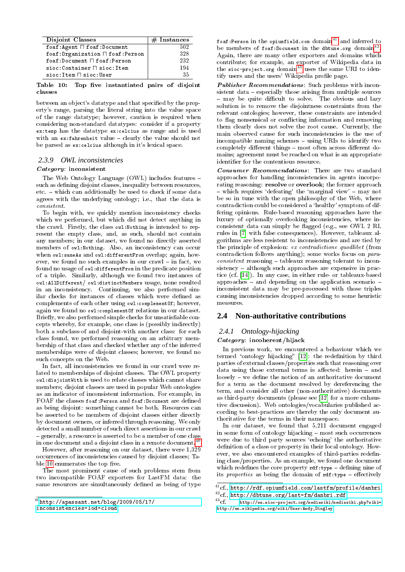| Disjoint Classes                                | $#$ Instances |
|-------------------------------------------------|---------------|
| foaf: Agent $\sqcap$ foaf: Document             | 502           |
| foaf: Organization □ foaf: Person               | 328           |
| foaf:Document □ foaf:Person                     | 232           |
| $\texttt{s}$ ioc: Container $\sqcap$ sioc: Item | 194           |
| $\texttt{sioc:Item} \sqcap \texttt{sioc:User}$  | 35            |

<span id="page-7-2"></span>Table 10: Top five instantiated pairs of disjoint classes

between an object's datatype and that specified by the property's range, parsing the literal string into the value space of the range datatype; however, caution is required when considering non-standard datatypes: consider if a property ex:temp has the datatype ex:celcius as range and is used with an ex:fahrenheit value  $-$  clearly the value should not be parsed as ex:celcius although in it's lexical space.

### *2.3.9 OWL inconsistencies*

#### Category: inconsistent

The Web Ontology Language (OWL) includes features such as defining disjoint classes, inequality between resources, etc.  $-$  which can additionally be used to check if some data agrees with the underlying ontology; i.e., that the data is consistent.

To begin with, we quickly mention inconsistency checks which we performed, but which did not detect anything in the crawl. Firstly, the class owl:Nothing is intended to represent the empty class, and, as such, should not contain any members; in our dataset, we found no directly asserted members of owl:Nothing. Also, an inconsistency can occur when owl:sameAs and owl:differentFrom overlap; again, however, we found no such examples in our crawl  $-$  in fact, we found no usage of owl:differentFrom in the predicate position of a triple. Similarly, although we found two instances of owl:AllDifferent/ owl:distinctMembers usage, none resulted in an inconsistency. Continuing, we also performed similar checks for instances of classes which were defined as complements of each other using owl:complementOf; however, again we found no owl:complementOf relations in our dataset. Briefly, we also performed simple checks for unsatisfiable concepts whereby, for example, one class is (possibly indirectly) both a subclass-of and disjoint-with another class: for each class found, we performed reasoning on an arbitrary membership of that class and checked whether any of the inferred memberships were of disjoint classes; however, we found no such concepts on the Web.

In fact, all inconsistencies we found in our crawl were related to memberships of disjoint classes. The OWL property owl:disjointWith is used to relate classes which cannot share members; disjoint classes are used in popular Web ontologies as an indicator of inconsistent information. For example, in FOAF the classes foat: Person and foat: Document are defined as being disjoint: something cannot be both. Resources can be asserted to be members of disjoint classes either directly by document owners, or inferred through reasoning. We only detected a small number of such direct assertions in our crawl { generally, a resource is asserted to be a member of one class in one document and a disjoint class in a remote document.<sup>[40](#page-7-1)</sup>

However, after reasoning on our dataset, there were 1,329 occurrences of inconsistencies caused by disjoint classes; Ta-ble [10](#page-7-2) enumerates the top five.

The most prominent cause of such problems stem from two incompatible FOAF exporters for LastFM data: the same resources are simultaneously defined as being of type foaf:Person in the opiumfield.com  $domain^{41}$  $domain^{41}$  $domain^{41}$  and inferred to be members of foaf:Document in the dbtune.org domain<sup>[42](#page-7-4)</sup>. Again, there are many other exporters and domains which contribute; for example, an exporter of Wikipedia data in the sioc-project.org domain<sup>[43](#page-7-5)</sup> uses the same URI to identify users and the users' Wikipedia profile page.

Publisher Recommendations: Such problems with inconsistent data - especially those arising from multiple sources - may be quite difficult to solve. The obvious and lazy solution is to remove the disjointness constraints from the relevant ontologies; however, these constraints are intended to flag nonsensical or conflicting information and removing them clearly does not solve the root cause. Currently, the main observed cause for such inconsistencies is the use of incompatible naming schemes  $-$  using URIs to identify two  $\zeta$  completely different things - most often across different domains; agreement must be reached on what is an appropriate identifier for the contentious resource.

Consumer Recommendations: There are two standard approaches for handling inconsistencies in agents incorporating reasoning: resolve or overlook; the former approach  $-$  which requires 'defeating' the 'marginal view'  $-$  may not be so in tune with the open philosophy of the Web, where contradiction could be considered a 'healthy' symptom of differing opinions. Rule-based reasoning approaches have the luxury of optionally overlooking inconsistencies, where inconsistent data can simply be 
agged (e.g., see OWL 2 RL rules in [\[7\]](#page-9-7) with false consequences). However, tableaux algorithms are less resistent to inconsistencies and are tied by the principle of explosion: ex contradictione quodlibet (from contradiction follows anything); some works focus on para $consistent$  reasoning  $-$  tableaux reasoning tolerant to inconsistency - although such approaches are expensive in practice (cf. [\[14\]](#page-9-8)). In any case, in either rule- or tableaux-based approaches  $=$  and depending on the application scenario  $=$ inconsistent data may be pre-processed with those triples causing inconsistencies dropped according to some heuristic measures.

#### <span id="page-7-0"></span>**2.4 Non-authoritative contributions**

#### *2.4.1 Ontology-hijacking*

### Category: incoherent/hijack

In previous work, we encountered a behaviour which we termed "ontology hijacking"  $[12]$ : the redefinition by third parties of external classes/properties such that reasoning over data using those external terms is affected: herein  $-$  and loosely – we define the notion of an authoritative document for a term as the document resolved by dereferencing the term, and consider all other (non-authoritative) documents as third-party documents (please see [\[12\]](#page-9-4) for a more exhaustive discussion). Web ontologies/vocabularies published according to best-practices are thereby the only document authoritative for the terms in their namespace.

In our dataset, we found that 5,211 document engaged in some form of ontology hijacking - most such occurrences were due to third party sources 'echoing' the authoritative definition of a class or property in their local ontology. However, we also encountered examples of third-parties redening class/properties. As an example, we found one document which redefines the core property  $\texttt{rdf:type}$  - defining nine of its properties as being the domain of  $\texttt{rdf:type}$  - effectively

<span id="page-7-1"></span> $^{40}$ [http://apassant.net/blog/2009/05/17/](http://apassant.net/blog/2009/05/17/inconsistencies-lod-cloud)

[inconsistencies-lod-cloud](http://apassant.net/blog/2009/05/17/inconsistencies-lod-cloud)

<span id="page-7-3"></span> ${}^{41}\mathrm{cf.}$ , <http://rdf.opiumfield.com/lastfm/profile/danbri>

<span id="page-7-5"></span><span id="page-7-4"></span> $^{42}$ cf., <http://dbtune.org/last-fm/danbri.rdf><br> $^{43}$ cf http://ws.sioc-project.org/mediawiki/media -<br>[http://ws.sioc-project.org/mediawiki/mediawiki.php?wiki=](http://ws.sioc-project.org/mediawiki/mediawiki.php?wiki=http://en.wikipedia.org/wiki/User:Andy_Dingley) [http://en.wikipedia.org/wiki/User:Andy\\_Dingley](http://ws.sioc-project.org/mediawiki/mediawiki.php?wiki=http://en.wikipedia.org/wiki/User:Andy_Dingley)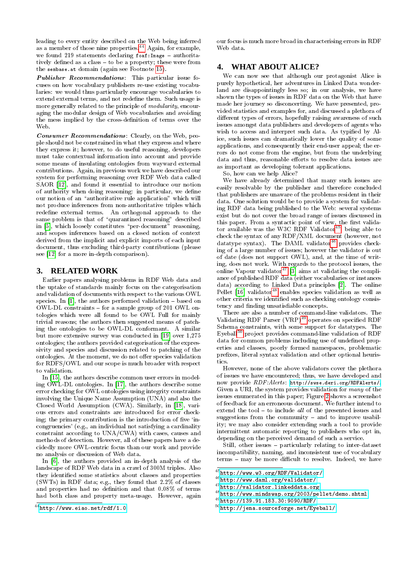leading to every entity described on the Web being inferred as a member of those nine properties.<sup>[44](#page-8-0)</sup> Again, for example, we found 219 statements declaring  $f$ oaf:Image - authoritatively defined as a class  $-$  to be a property; these were from the sembase.at domain (again see Footnote [15\)](#page-4-2).

Publisher Recommendations: This particular issue focuses on how vocabulary publishers re-use existing vocabularies: we would thus particularly encourage vocabularies to extend external terms, and not redefine them. Such usage is more generally related to the principle of *modularity*, encouraging the modular design of Web vocabularies and avoiding the mess implied by the cross-definition of terms over the Web.

Consumer Recommendations: Clearly, on the Web, people should not be constrained in what they express and where they express it; however, to do useful reasoning, developers must take contextual information into account and provide some means of insulating ontologies from wayward external contributions. Again, in previous work we have described our system for performing reasoning over RDF Web data called SAOR [\[12\]](#page-9-4), and found it essential to introduce our notion of authority when doing reasoning: in particular, we define our notion of an "authoritative rule application" which will not produce inferences from non-authoritative triples which redene external terms. An orthogonal approach to the same problem is that of "quarantined reasoning" described in [\[5\]](#page-9-9), which loosely constitutes \per-document" reasoning, and scopes inferences based on a closed notion of context derived from the implicit and explicit imports of each input document, thus excluding third-party contributions (please see [\[12\]](#page-9-4) for a more in-depth comparison).

### **3. RELATED WORK**

Earlier papers analysing problems in RDF Web data and the uptake of standards mainly focus on the categorisation and validation of documents with respect to the various OWL species. In  $[1]$ , the authors performed validation  $-$  based on OWL-DL constraints  $-$  for a sample group of 201 OWL ontologies which were all found to be OWL Full for mainly trivial reasons; the authors then suggested means of patching the ontologies to be OWL-DL conformant. A similar but more extensive survey was conducted in [\[19\]](#page-9-11) over 1,275 ontologies; the authors provided categorisation of the expressivity and species and discussion related to patching of the ontologies. At the moment, we do not offer species validation for RDFS/OWL and our scope is much broader with respect to validation.

In [\[15\]](#page-9-12), the authors describe common user errors in modeling OWL-DL ontologies. In [\[17\]](#page-9-13), the authors describe some error checking for OWL ontologies using integrity constraints involving the Unique Name Assumption (UNA) and also the Closed World Assumption (CWA). Similarly, in [\[18\]](#page-9-14), various errors and constraints are introduced for error checking; the primary contribution is the introduction of five  $\infty$ . congruencies' (e.g., an individual not satisfying a cardinality constraint according to UNA/CWA) with cases, causes and methods of detection. However, all of these papers have a decidedly more OWL-centric focus than our work and provide no analysis or discussion of Web data.

In [\[6\]](#page-9-15), the authors provided an in-depth analysis of the landscape of RDF Web data in a crawl of 300M triples. Also they identied some statistics about classes and properties (SWTs) in RDF data; e.g., they found that 2.2% of classes and properties had no definition and that 0.08% of terms had both class and property meta-usage. However, again our focus is much more broad in characterising errors in RDF Web data.

### **4. WHAT ABOUT ALICE?**

We can now see that although our protagonist Alice is purely hypothetical, her adventures in Linked Data wonderland are disappointingly less so; in our analysis, we have shown the types of issues in RDF data on the Web that have made her journey so disconcerting. We have presented, provided statistics and examples for, and discussed a plethora of different types of errors, hopefully raising awareness of such issues amongst data publishers and developers of agents who wish to access and interpret such data. As typied by Alice, such issues can dramatically lower the quality of some applications, and consequently their end-user appeal; the errors do not come from the engine, but from the underlying data and thus, reasonable efforts to resolve data issues are as important as developing tolerant applications.

So, how can we help Alice?

We have already determined that many such issues are easily resolvable by the publisher and therefore concluded that publishers are unaware of the problems resident in their data. One solution would be to provide a system for validating RDF data being published to the Web: several systems exist but do not cover the broad range of issues discussed in this paper. From a syntactic point of view, the first valida-tor available was the W3C RDF Validator<sup>[45](#page-8-1)</sup>, being able to check the syntax of any RDF/XML document (however, not datatype syntax). The DAML validator<sup>[46](#page-8-2)</sup> provides checking of a large number of issues; however the validator is out of date (does not support OWL), and, at the time of writing, does not work. With regards to the protocol issues, the online Vapour validator<sup>[47](#page-8-3)</sup> [\[3\]](#page-9-16) aims at validating the compliance of published RDF data (either vocabularies or instances data) according to Linked Data principles [\[2\]](#page-9-3). The online Pellet  $[16]$  validator<sup>[48](#page-8-4)</sup> enables species validation as well as other criteria we identied such as checking ontology consistency and finding unsatisfiable concepts.

There are also a number of command-line validators. The Validating RDF Parser  $(VRP)^{49}$  $(VRP)^{49}$  $(VRP)^{49}$  operates on specified RDF Schema constraints, with some support for datatypes. The Eyeball<sup>[50](#page-8-6)</sup> project provides command-line validation of RDF data for common problems including use of undefined properties and classes, poorly formed namespaces, problematic prefixes, literal syntax validation and other optional heuristics.

However, none of the above validators cover the plethora of issues we have encountered; thus, we have developed and now provide RDF:Alerts: <http://swse.deri.org/RDFAlerts/>. Given a URI, the system provides validation for many of the issues enumerated in this paper; Figure [2](#page-9-18) shows a screenshot of feedback for an erroneous document. We further intend to extend the tool – to include all of the presented issues and suggestions from the community  $-$  and to improve usability; we may also consider extending such a tool to provide intermittent automatic reporting to publishers who opt in, depending on the perceived demand of such a service.

Still, other issues - particularly relating to inter-dataset incompatibility, naming, and inconsistent use of vocabulary terms - may be more difficult to resolve. Indeed, we have

<span id="page-8-0"></span> $44$ <http://www.eiao.net/rdf/1.0>

<span id="page-8-1"></span><sup>45</sup><http://www.w3.org/RDF/Validator/>

<span id="page-8-2"></span><sup>46</sup><http://www.daml.org/validator/>

<span id="page-8-3"></span><sup>47</sup><http://validator.linkeddata.org>

<span id="page-8-4"></span><sup>48</sup><http://www.mindswap.org/2003/pellet/demo.shtml>

<span id="page-8-5"></span><sup>49</sup><http://139.91.183.30:9090/RDF/>

<span id="page-8-6"></span> $^{50}\mathrm{http://jena.sourceforge.net/Eyeball/}$  $^{50}\mathrm{http://jena.sourceforge.net/Eyeball/}$  $^{50}\mathrm{http://jena.sourceforge.net/Eyeball/}$